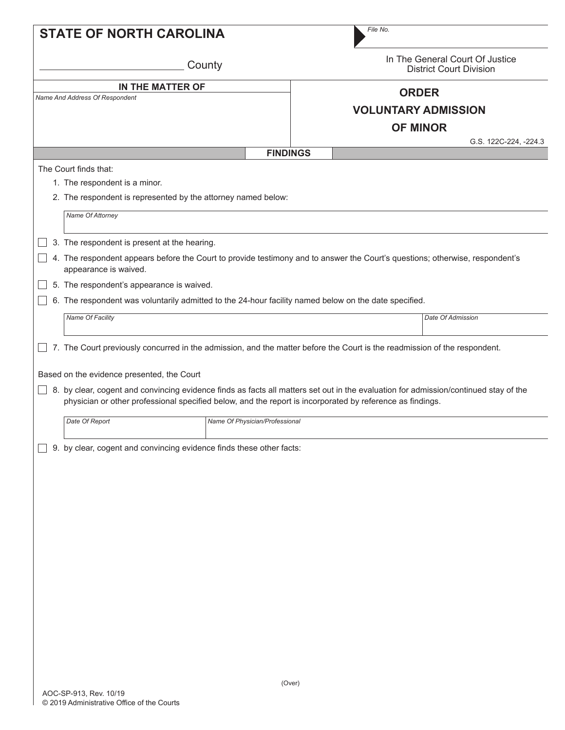| <b>STATE OF NORTH CAROLINA</b>                                                                                                       | File No.                   |                                                                   |  |
|--------------------------------------------------------------------------------------------------------------------------------------|----------------------------|-------------------------------------------------------------------|--|
| County                                                                                                                               |                            | In The General Court Of Justice<br><b>District Court Division</b> |  |
| IN THE MATTER OF                                                                                                                     | <b>ORDER</b>               |                                                                   |  |
| Name And Address Of Respondent                                                                                                       |                            |                                                                   |  |
|                                                                                                                                      | <b>VOLUNTARY ADMISSION</b> |                                                                   |  |
|                                                                                                                                      | <b>OF MINOR</b>            |                                                                   |  |
|                                                                                                                                      | <b>FINDINGS</b>            | G.S. 122C-224, -224.3                                             |  |
| The Court finds that:                                                                                                                |                            |                                                                   |  |
| 1. The respondent is a minor.                                                                                                        |                            |                                                                   |  |
| 2. The respondent is represented by the attorney named below:                                                                        |                            |                                                                   |  |
|                                                                                                                                      |                            |                                                                   |  |
| Name Of Attorney                                                                                                                     |                            |                                                                   |  |
| 3. The respondent is present at the hearing.                                                                                         |                            |                                                                   |  |
| 4. The respondent appears before the Court to provide testimony and to answer the Court's questions; otherwise, respondent's         |                            |                                                                   |  |
| appearance is waived.                                                                                                                |                            |                                                                   |  |
| 5. The respondent's appearance is waived.                                                                                            |                            |                                                                   |  |
| 6. The respondent was voluntarily admitted to the 24-hour facility named below on the date specified.                                |                            |                                                                   |  |
| Name Of Facility                                                                                                                     |                            | Date Of Admission                                                 |  |
|                                                                                                                                      |                            |                                                                   |  |
| 7. The Court previously concurred in the admission, and the matter before the Court is the readmission of the respondent.            |                            |                                                                   |  |
|                                                                                                                                      |                            |                                                                   |  |
| Based on the evidence presented, the Court                                                                                           |                            |                                                                   |  |
| 8. by clear, cogent and convincing evidence finds as facts all matters set out in the evaluation for admission/continued stay of the |                            |                                                                   |  |
| physician or other professional specified below, and the report is incorporated by reference as findings.                            |                            |                                                                   |  |
| Date Of Report<br>Name Of Physician/Professional                                                                                     |                            |                                                                   |  |
|                                                                                                                                      |                            |                                                                   |  |
| 9. by clear, cogent and convincing evidence finds these other facts:                                                                 |                            |                                                                   |  |
|                                                                                                                                      |                            |                                                                   |  |
|                                                                                                                                      |                            |                                                                   |  |
|                                                                                                                                      |                            |                                                                   |  |
|                                                                                                                                      |                            |                                                                   |  |
|                                                                                                                                      |                            |                                                                   |  |
|                                                                                                                                      |                            |                                                                   |  |
|                                                                                                                                      |                            |                                                                   |  |
|                                                                                                                                      |                            |                                                                   |  |
|                                                                                                                                      |                            |                                                                   |  |
|                                                                                                                                      |                            |                                                                   |  |
|                                                                                                                                      |                            |                                                                   |  |
|                                                                                                                                      |                            |                                                                   |  |
|                                                                                                                                      |                            |                                                                   |  |
|                                                                                                                                      |                            |                                                                   |  |
|                                                                                                                                      | (Over)                     |                                                                   |  |